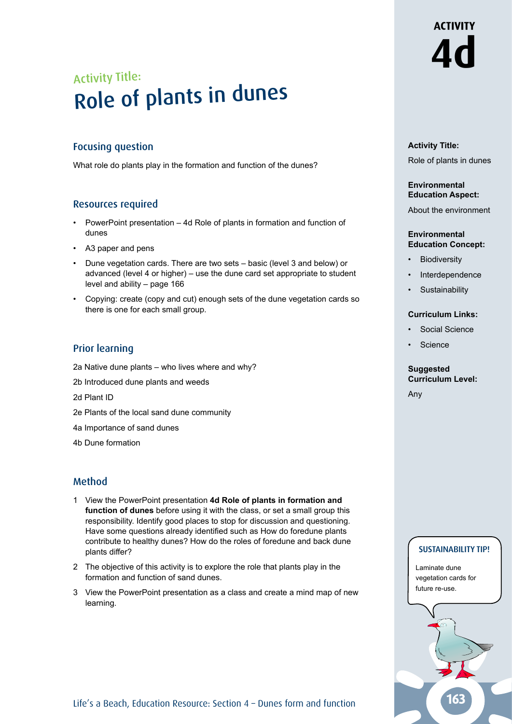# Activity Title: Role of plants in dunes

## Focusing question

What role do plants play in the formation and function of the dunes?

### Resources required

- PowerPoint presentation 4d Role of plants in formation and function of dunes
- A3 paper and pens
- Dune vegetation cards. There are two sets basic (level 3 and below) or advanced (level 4 or higher) – use the dune card set appropriate to student level and ability – page 166
- Copying: create (copy and cut) enough sets of the dune vegetation cards so there is one for each small group.

# Prior learning

- 2a Native dune plants who lives where and why?
- 2b Introduced dune plants and weeds
- 2d Plant ID
- 2e Plants of the local sand dune community
- 4a Importance of sand dunes
- 4b Dune formation

# Method

- 1 View the PowerPoint presentation **4d Role of plants in formation and function of dunes** before using it with the class, or set a small group this responsibility. Identify good places to stop for discussion and questioning. Have some questions already identified such as How do foredune plants contribute to healthy dunes? How do the roles of foredune and back dune plants differ?
- 2 The objective of this activity is to explore the role that plants play in the formation and function of sand dunes.
- 3 View the PowerPoint presentation as a class and create a mind map of new learning.

# **Activity Title:**

Role of plants in dunes

**4d**

**ACTIVITY** 

#### **Environmental Education Aspect:**

About the environment

#### **Environmental Education Concept:**

- **Biodiversity**
- **Interdependence**
- **Sustainability**

#### **Curriculum Links:**

- Social Science
- **Science**

# **Suggested Curriculum Level:**

Any

#### SUSTAINABILITY TIP!

Laminate dune vegetation cards for future re-use.

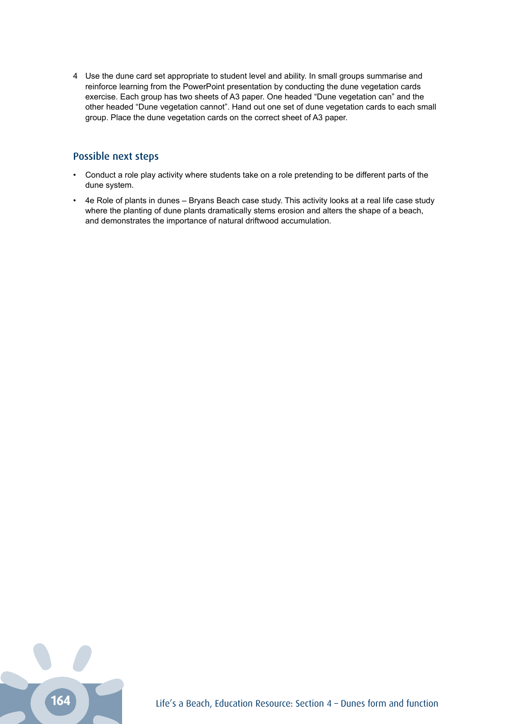4 Use the dune card set appropriate to student level and ability. In small groups summarise and reinforce learning from the PowerPoint presentation by conducting the dune vegetation cards exercise. Each group has two sheets of A3 paper. One headed "Dune vegetation can" and the other headed "Dune vegetation cannot". Hand out one set of dune vegetation cards to each small group. Place the dune vegetation cards on the correct sheet of A3 paper.

## Possible next steps

- Conduct a role play activity where students take on a role pretending to be different parts of the dune system.
- 4e Role of plants in dunes Bryans Beach case study. This activity looks at a real life case study where the planting of dune plants dramatically stems erosion and alters the shape of a beach, and demonstrates the importance of natural driftwood accumulation.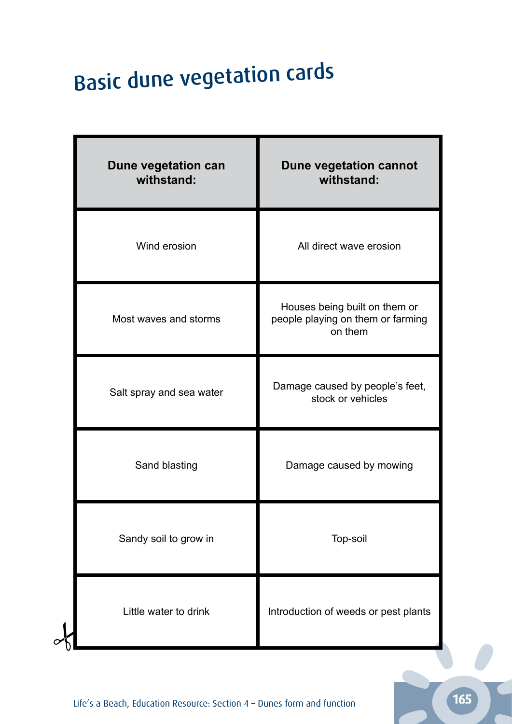# Basic dune vegetation cards

| Dune vegetation can<br>withstand: | Dune vegetation cannot<br>withstand:                                          |
|-----------------------------------|-------------------------------------------------------------------------------|
| Wind erosion                      | All direct wave erosion                                                       |
| Most waves and storms             | Houses being built on them or<br>people playing on them or farming<br>on them |
| Salt spray and sea water          | Damage caused by people's feet,<br>stock or vehicles                          |
| Sand blasting                     | Damage caused by mowing                                                       |
| Sandy soil to grow in             | Top-soil                                                                      |
| Little water to drink             | Introduction of weeds or pest plants                                          |